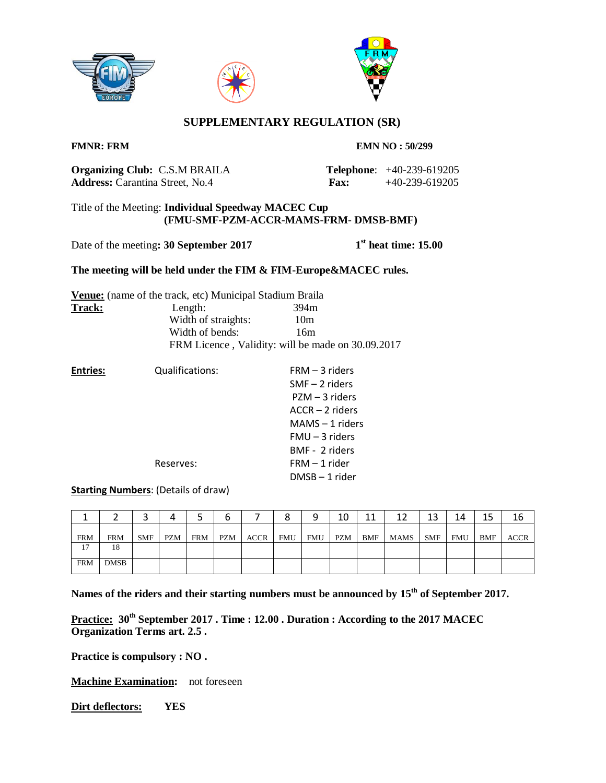





# **SUPPLEMENTARY REGULATION (SR)**

**FMNR: FRM EMN NO : 50/299** 

**Organizing Club:** C.S.M BRAILA **Telephone**: +40-239-619205 **Address:** Carantina Street, No.4 **Fax:** +40-239-619205

## Title of the Meeting: **Individual Speedway MACEC Cup (FMU-SMF-PZM-ACCR-MAMS-FRM- DMSB-BMF)**

Date of the meeting: 30 September 2017

**st heat time: 15.00**

## **The meeting will be held under the FIM & FIM-Europe&MACEC rules.**

|        | <b>Venue:</b> (name of the track, etc) Municipal Stadium Braila |                                                   |
|--------|-----------------------------------------------------------------|---------------------------------------------------|
| Track: | Length:                                                         | 394m                                              |
|        | Width of straights:                                             | 10 <sub>m</sub>                                   |
|        | Width of bends:                                                 | 16m                                               |
|        |                                                                 | FRM Licence, Validity: will be made on 30.09.2017 |

| <b>Entries:</b> | Qualifications: | $FRM - 3$ riders  |
|-----------------|-----------------|-------------------|
|                 |                 | $SMF - 2$ riders  |
|                 |                 | PZM – 3 riders    |
|                 |                 | $ACCR - 2$ riders |
|                 |                 | $MAMS - 1$ riders |
|                 |                 | $FMU - 3$ riders  |
|                 |                 | BMF - 2 riders    |
|                 | Reserves:       | $FRM - 1$ rider   |
|                 |                 | DMSB-1 rider      |

**Starting Numbers**: (Details of draw)

|            |             |            |            |            |     |             |     |            | 10         | 11  | 1 ገ  | 13         | 14         | 15  | 16          |
|------------|-------------|------------|------------|------------|-----|-------------|-----|------------|------------|-----|------|------------|------------|-----|-------------|
| <b>FRM</b> | <b>FRM</b>  | <b>SMF</b> | <b>PZM</b> | <b>FRM</b> | PZM | <b>ACCR</b> | FMU | <b>FMU</b> | <b>PZM</b> | BMF | MAMS | <b>SMF</b> | <b>FMU</b> | BMF | <b>ACCR</b> |
| 17         | 18          |            |            |            |     |             |     |            |            |     |      |            |            |     |             |
| <b>FRM</b> | <b>DMSB</b> |            |            |            |     |             |     |            |            |     |      |            |            |     |             |

**Names of the riders and their starting numbers must be announced by 15th of September 2017.**

**Practice: 30th September 2017 . Time : 12.00 . Duration : According to the 2017 MACEC Organization Terms art. 2.5 .**

**Practice is compulsory : NO .**

**Machine Examination:** not foreseen

**Dirt deflectors: YES**